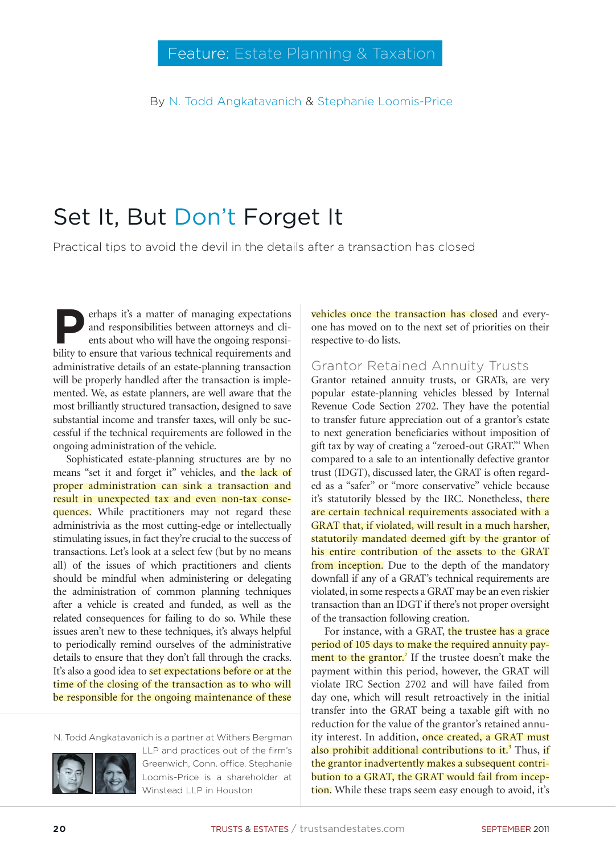By N. Todd Angkatavanich & Stephanie Loomis-Price

# Set It, But Don't Forget It

Practical tips to avoid the devil in the details after a transaction has closed

**Perhaps it's a matter of managing expectations**<br>and responsibilities between attorneys and clients about who will have the ongoing responsiand responsibilities between attorneys and clients about who will have the ongoing responsibility to ensure that various technical requirements and administrative details of an estate-planning transaction will be properly handled after the transaction is implemented. We, as estate planners, are well aware that the most brilliantly structured transaction, designed to save substantial income and transfer taxes, will only be successful if the technical requirements are followed in the ongoing administration of the vehicle.

Sophisticated estate-planning structures are by no means "set it and forget it" vehicles, and the lack of proper administration can sink a transaction and result in unexpected tax and even non-tax consequences. While practitioners may not regard these administrivia as the most cutting-edge or intellectually stimulating issues, in fact they're crucial to the success of transactions. Let's look at a select few (but by no means all) of the issues of which practitioners and clients should be mindful when administering or delegating the administration of common planning techniques after a vehicle is created and funded, as well as the related consequences for failing to do so. While these issues aren't new to these techniques, it's always helpful to periodically remind ourselves of the administrative details to ensure that they don't fall through the cracks. It's also a good idea to **set expectations before or at the** time of the closing of the transaction as to who will be responsible for the ongoing maintenance of these

N. Todd Angkatavanich is a partner at Withers Bergman



LLP and practices out of the firm's Greenwich, Conn. office. Stephanie Loomis-Price is a shareholder at Winstead LLP in Houston

vehicles once the transaction has closed and everyone has moved on to the next set of priorities on their respective to-do lists.

#### Grantor Retained Annuity Trusts

Grantor retained annuity trusts, or GRATs, are very popular estate-planning vehicles blessed by Internal Revenue Code Section 2702. They have the potential to transfer future appreciation out of a grantor's estate to next generation beneficiaries without imposition of gift tax by way of creating a "zeroed-out GRAT."<sup>1</sup> When compared to a sale to an intentionally defective grantor trust (IDGT), discussed later, the GRAT is often regarded as a "safer" or "more conservative" vehicle because it's statutorily blessed by the IRC. Nonetheless, there are certain technical requirements associated with a GRAT that, if violated, will result in a much harsher, statutorily mandated deemed gift by the grantor of his entire contribution of the assets to the GRAT from inception. Due to the depth of the mandatory downfall if any of a GRAT's technical requirements are violated, in some respects a GRAT may be an even riskier transaction than an IDGT if there's not proper oversight of the transaction following creation.

For instance, with a GRAT, the trustee has a grace period of 105 days to make the required annuity payment to the grantor.<sup>2</sup> If the trustee doesn't make the payment within this period, however, the GRAT will violate IRC Section 2702 and will have failed from day one, which will result retroactively in the initial transfer into the GRAT being a taxable gift with no reduction for the value of the grantor's retained annuity interest. In addition, once created, a GRAT must also prohibit additional contributions to it.<sup>3</sup> Thus, if the grantor inadvertently makes a subsequent contribution to a GRAT, the GRAT would fail from inception. While these traps seem easy enough to avoid, it's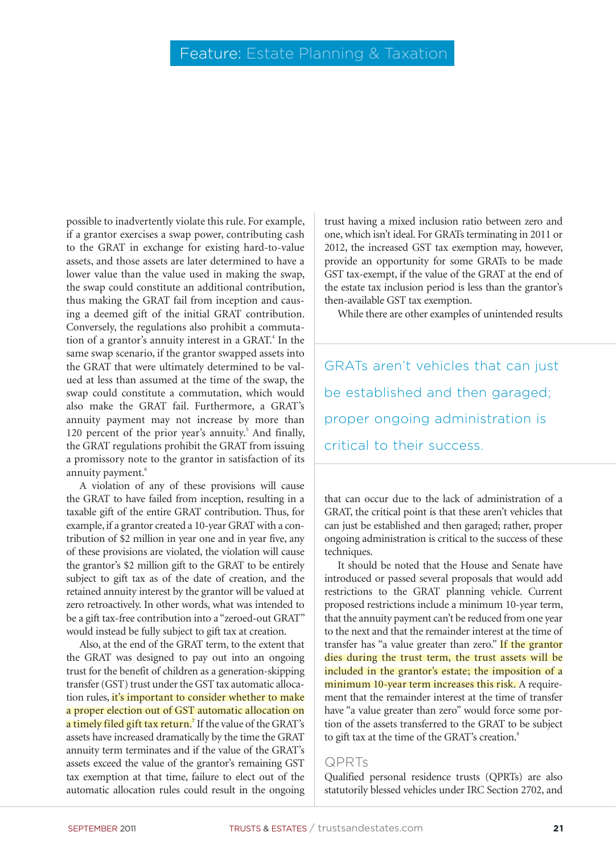possible to inadvertently violate this rule. For example, if a grantor exercises a swap power, contributing cash to the GRAT in exchange for existing hard-to-value assets, and those assets are later determined to have a lower value than the value used in making the swap, the swap could constitute an additional contribution, thus making the GRAT fail from inception and causing a deemed gift of the initial GRAT contribution. Conversely, the regulations also prohibit a commutation of a grantor's annuity interest in a GRAT.<sup>4</sup> In the same swap scenario, if the grantor swapped assets into the GRAT that were ultimately determined to be valued at less than assumed at the time of the swap, the swap could constitute a commutation, which would also make the GRAT fail. Furthermore, a GRAT's annuity payment may not increase by more than 120 percent of the prior year's annuity.<sup>5</sup> And finally, the GRAT regulations prohibit the GRAT from issuing a promissory note to the grantor in satisfaction of its annuity payment.<sup>6</sup>

A violation of any of these provisions will cause the GRAT to have failed from inception, resulting in a taxable gift of the entire GRAT contribution. Thus, for example, if a grantor created a 10-year GRAT with a contribution of \$2 million in year one and in year five, any of these provisions are violated, the violation will cause the grantor's \$2 million gift to the GRAT to be entirely subject to gift tax as of the date of creation, and the retained annuity interest by the grantor will be valued at zero retroactively. In other words, what was intended to be a gift tax-free contribution into a "zeroed-out GRAT" would instead be fully subject to gift tax at creation.

Also, at the end of the GRAT term, to the extent that the GRAT was designed to pay out into an ongoing trust for the benefit of children as a generation-skipping transfer (GST) trust under the GST tax automatic allocation rules, it's important to consider whether to make a proper election out of GST automatic allocation on a timely filed gift tax return.<sup>7</sup> If the value of the GRAT's assets have increased dramatically by the time the GRAT annuity term terminates and if the value of the GRAT's assets exceed the value of the grantor's remaining GST tax exemption at that time, failure to elect out of the automatic allocation rules could result in the ongoing

trust having a mixed inclusion ratio between zero and one, which isn't ideal. For GRATs terminating in 2011 or 2012, the increased GST tax exemption may, however, provide an opportunity for some GRATs to be made GST tax-exempt, if the value of the GRAT at the end of the estate tax inclusion period is less than the grantor's then-available GST tax exemption.

While there are other examples of unintended results

GRATs aren't vehicles that can just be established and then garaged; proper ongoing administration is critical to their success.

that can occur due to the lack of administration of a GRAT, the critical point is that these aren't vehicles that can just be established and then garaged; rather, proper ongoing administration is critical to the success of these techniques.

It should be noted that the House and Senate have introduced or passed several proposals that would add restrictions to the GRAT planning vehicle. Current proposed restrictions include a minimum 10-year term, that the annuity payment can't be reduced from one year to the next and that the remainder interest at the time of transfer has "a value greater than zero." If the grantor dies during the trust term, the trust assets will be included in the grantor's estate; the imposition of a minimum 10-year term increases this risk. A requirement that the remainder interest at the time of transfer have "a value greater than zero" would force some portion of the assets transferred to the GRAT to be subject to gift tax at the time of the GRAT's creation.<sup>8</sup>

## QPRTs

Qualified personal residence trusts (QPRTs) are also statutorily blessed vehicles under IRC Section 2702, and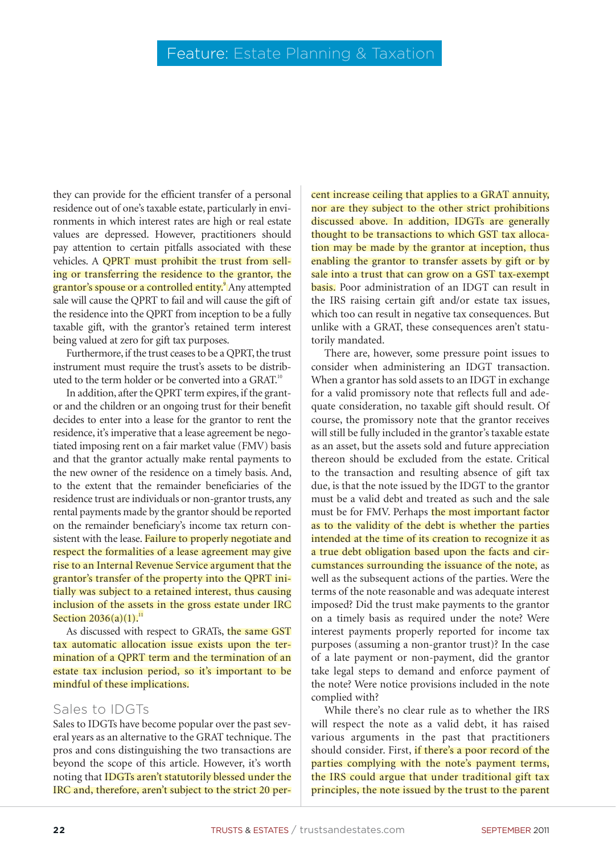they can provide for the efficient transfer of a personal residence out of one's taxable estate, particularly in environments in which interest rates are high or real estate values are depressed. However, practitioners should pay attention to certain pitfalls associated with these vehicles. A QPRT must prohibit the trust from selling or transferring the residence to the grantor, the grantor's spouse or a controlled entity.<sup>9</sup> Any attempted sale will cause the QPRT to fail and will cause the gift of the residence into the QPRT from inception to be a fully taxable gift, with the grantor's retained term interest being valued at zero for gift tax purposes.

Furthermore, if the trust ceases to be a QPRT, the trust instrument must require the trust's assets to be distributed to the term holder or be converted into a GRAT.<sup>10</sup>

In addition, after the QPRT term expires, if the grantor and the children or an ongoing trust for their benefit decides to enter into a lease for the grantor to rent the residence, it's imperative that a lease agreement be negotiated imposing rent on a fair market value (FMV) basis and that the grantor actually make rental payments to the new owner of the residence on a timely basis. And, to the extent that the remainder beneficiaries of the residence trust are individuals or non-grantor trusts, any rental payments made by the grantor should be reported on the remainder beneficiary's income tax return consistent with the lease. Failure to properly negotiate and respect the formalities of a lease agreement may give rise to an Internal Revenue Service argument that the grantor's transfer of the property into the QPRT initially was subject to a retained interest, thus causing inclusion of the assets in the gross estate under IRC Section  $2036(a)(1)$ .<sup>11</sup>

As discussed with respect to GRATs, the same GST tax automatic allocation issue exists upon the termination of a QPRT term and the termination of an estate tax inclusion period, so it's important to be mindful of these implications.

#### Sales to IDGTs

Sales to IDGTs have become popular over the past several years as an alternative to the GRAT technique. The pros and cons distinguishing the two transactions are beyond the scope of this article. However, it's worth noting that IDGTs aren't statutorily blessed under the IRC and, therefore, aren't subject to the strict 20 per-

cent increase ceiling that applies to a GRAT annuity, nor are they subject to the other strict prohibitions discussed above. In addition, IDGTs are generally thought to be transactions to which GST tax allocation may be made by the grantor at inception, thus enabling the grantor to transfer assets by gift or by sale into a trust that can grow on a GST tax-exempt basis. Poor administration of an IDGT can result in the IRS raising certain gift and/or estate tax issues, which too can result in negative tax consequences. But unlike with a GRAT, these consequences aren't statutorily mandated.

There are, however, some pressure point issues to consider when administering an IDGT transaction. When a grantor has sold assets to an IDGT in exchange for a valid promissory note that reflects full and adequate consideration, no taxable gift should result. Of course, the promissory note that the grantor receives will still be fully included in the grantor's taxable estate as an asset, but the assets sold and future appreciation thereon should be excluded from the estate. Critical to the transaction and resulting absence of gift tax due, is that the note issued by the IDGT to the grantor must be a valid debt and treated as such and the sale must be for FMV. Perhaps the most important factor as to the validity of the debt is whether the parties intended at the time of its creation to recognize it as a true debt obligation based upon the facts and circumstances surrounding the issuance of the note, as well as the subsequent actions of the parties. Were the terms of the note reasonable and was adequate interest imposed? Did the trust make payments to the grantor on a timely basis as required under the note? Were interest payments properly reported for income tax purposes (assuming a non-grantor trust)? In the case of a late payment or non-payment, did the grantor take legal steps to demand and enforce payment of the note? Were notice provisions included in the note complied with?

While there's no clear rule as to whether the IRS will respect the note as a valid debt, it has raised various arguments in the past that practitioners should consider. First, if there's a poor record of the parties complying with the note's payment terms, the IRS could argue that under traditional gift tax principles, the note issued by the trust to the parent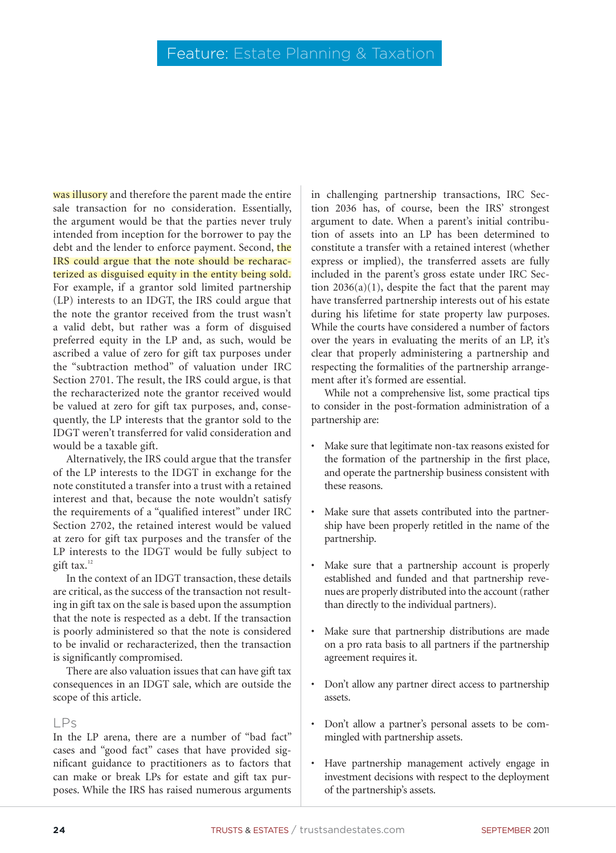was illusory and therefore the parent made the entire sale transaction for no consideration. Essentially, the argument would be that the parties never truly intended from inception for the borrower to pay the debt and the lender to enforce payment. Second, the IRS could argue that the note should be recharacterized as disguised equity in the entity being sold. For example, if a grantor sold limited partnership (LP) interests to an IDGT, the IRS could argue that the note the grantor received from the trust wasn't a valid debt, but rather was a form of disguised preferred equity in the LP and, as such, would be ascribed a value of zero for gift tax purposes under the "subtraction method" of valuation under IRC Section 2701. The result, the IRS could argue, is that the recharacterized note the grantor received would be valued at zero for gift tax purposes, and, consequently, the LP interests that the grantor sold to the IDGT weren't transferred for valid consideration and would be a taxable gift.

Alternatively, the IRS could argue that the transfer of the LP interests to the IDGT in exchange for the note constituted a transfer into a trust with a retained interest and that, because the note wouldn't satisfy the requirements of a "qualified interest" under IRC Section 2702, the retained interest would be valued at zero for gift tax purposes and the transfer of the LP interests to the IDGT would be fully subject to gift tax.<sup>12</sup>

In the context of an IDGT transaction, these details are critical, as the success of the transaction not resulting in gift tax on the sale is based upon the assumption that the note is respected as a debt. If the transaction is poorly administered so that the note is considered to be invalid or recharacterized, then the transaction is significantly compromised.

There are also valuation issues that can have gift tax consequences in an IDGT sale, which are outside the scope of this article.

#### LPs

In the LP arena, there are a number of "bad fact" cases and "good fact" cases that have provided significant guidance to practitioners as to factors that can make or break LPs for estate and gift tax purposes. While the IRS has raised numerous arguments

in challenging partnership transactions, IRC Section 2036 has, of course, been the IRS' strongest argument to date. When a parent's initial contribution of assets into an LP has been determined to constitute a transfer with a retained interest (whether express or implied), the transferred assets are fully included in the parent's gross estate under IRC Section  $2036(a)(1)$ , despite the fact that the parent may have transferred partnership interests out of his estate during his lifetime for state property law purposes. While the courts have considered a number of factors over the years in evaluating the merits of an LP, it's clear that properly administering a partnership and respecting the formalities of the partnership arrangement after it's formed are essential.

While not a comprehensive list, some practical tips to consider in the post-formation administration of a partnership are:

- Make sure that legitimate non-tax reasons existed for the formation of the partnership in the first place, and operate the partnership business consistent with these reasons.
- Make sure that assets contributed into the partnership have been properly retitled in the name of the partnership.
- Make sure that a partnership account is properly established and funded and that partnership revenues are properly distributed into the account (rather than directly to the individual partners).
- Make sure that partnership distributions are made on a pro rata basis to all partners if the partnership agreement requires it.
- Don't allow any partner direct access to partnership assets.
- Don't allow a partner's personal assets to be commingled with partnership assets.
- Have partnership management actively engage in investment decisions with respect to the deployment of the partnership's assets.